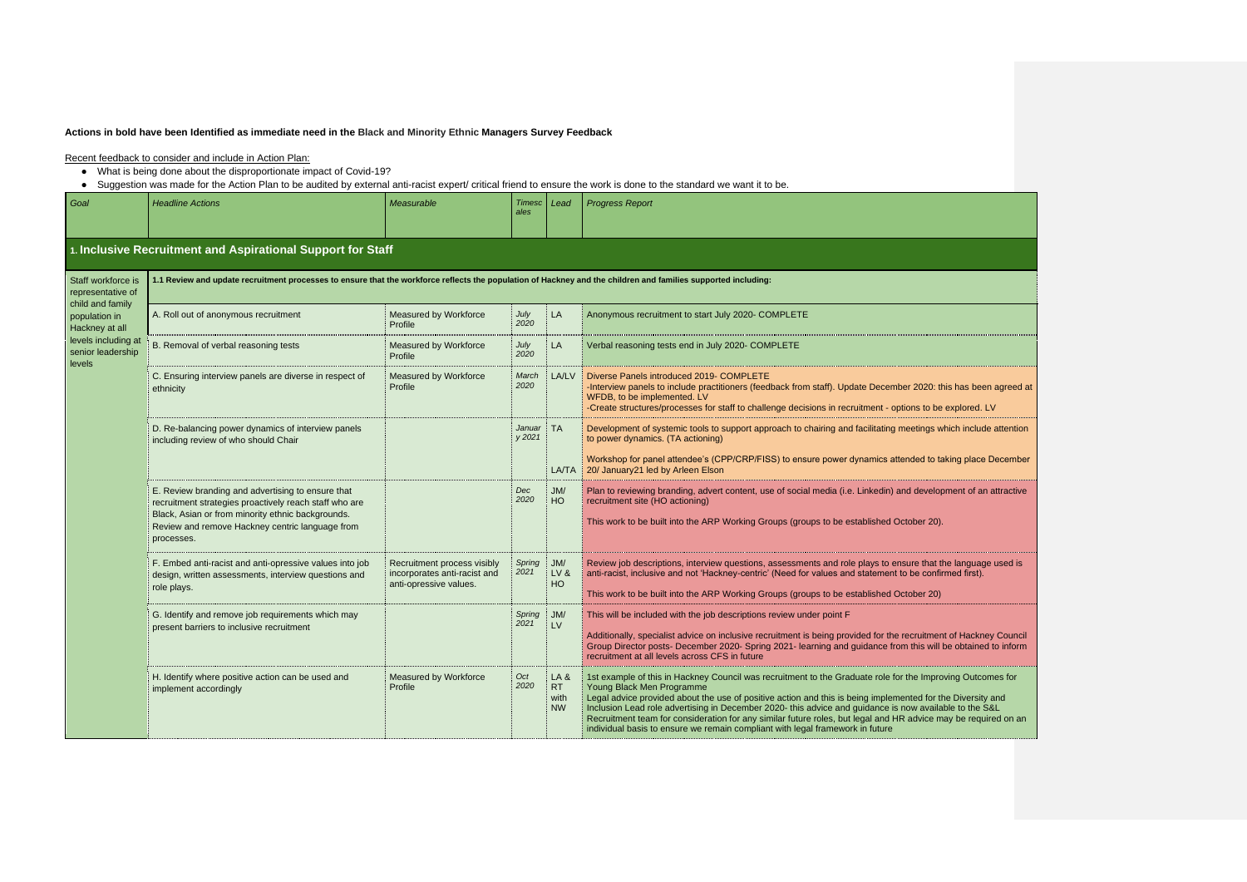## **Actions in bold have been Identified as immediate need in the Black and Minority Ethnic Managers Survey Feedback**

- What is being done about the disproportionate impact of Covid-19?
- 

| Suggestion was made for the Action Plan to be audited by external anti-racist expert/ critical friend to ensure the work is done to the standard we want it to be.<br><b>Headline Actions</b><br><b>Progress Report</b><br>Measurable<br><b>Timesc</b><br>Goal<br>Lead<br>ales<br>1. Inclusive Recruitment and Aspirational Support for Staff<br>1.1 Review and update recruitment processes to ensure that the workforce reflects the population of Hackney and the children and families supported including:<br>Staff workforce is<br>representative of<br>child and family<br>A. Roll out of anonymous recruitment<br>Measured by Workforce<br>July<br>LA<br>Anonymous recruitment to start July 2020- COMPLETE<br>population in<br>2020<br>Profile<br>Hackney at all<br>levels including at<br>B. Removal of verbal reasoning tests<br>Measured by Workforce<br>July<br>Verbal reasoning tests end in July 2020- COMPLETE<br>LA<br>senior leadership<br>2020<br>Profile<br><b>levels</b><br>Measured by Workforce<br>Diverse Panels introduced 2019- COMPLETE<br>C. Ensuring interview panels are diverse in respect of<br>March<br>LA/LV<br>2020<br>-Interview panels to include practitioners (feedback from staff). Update December 2020: this has been agreed at<br>Profile<br>ethnicity<br>WFDB, to be implemented. LV<br>-Create structures/processes for staff to challenge decisions in recruitment - options to be explored. LV<br>Januar : TA<br>Development of systemic tools to support approach to chairing and facilitating meetings which include attention<br>D. Re-balancing power dynamics of interview panels<br>y 2021<br>to power dynamics. (TA actioning)<br>including review of who should Chair<br>Workshop for panel attendee's (CPP/CRP/FISS) to ensure power dynamics attended to taking place December<br>20/ January21 led by Arleen Elson<br>LA/TA<br>E. Review branding and advertising to ensure that<br>Plan to reviewing branding, advert content, use of social media (i.e. Linkedin) and development of an attractive<br>Dec<br>JM/<br>2020<br>HO<br>recruitment site (HO actioning)<br>recruitment strategies proactively reach staff who are<br>Black, Asian or from minority ethnic backgrounds.<br>This work to be built into the ARP Working Groups (groups to be established October 20).<br>Review and remove Hackney centric language from<br>processes. |  |
|-----------------------------------------------------------------------------------------------------------------------------------------------------------------------------------------------------------------------------------------------------------------------------------------------------------------------------------------------------------------------------------------------------------------------------------------------------------------------------------------------------------------------------------------------------------------------------------------------------------------------------------------------------------------------------------------------------------------------------------------------------------------------------------------------------------------------------------------------------------------------------------------------------------------------------------------------------------------------------------------------------------------------------------------------------------------------------------------------------------------------------------------------------------------------------------------------------------------------------------------------------------------------------------------------------------------------------------------------------------------------------------------------------------------------------------------------------------------------------------------------------------------------------------------------------------------------------------------------------------------------------------------------------------------------------------------------------------------------------------------------------------------------------------------------------------------------------------------------------------------------------------------------------------------------------------------------------------------------------------------------------------------------------------------------------------------------------------------------------------------------------------------------------------------------------------------------------------------------------------------------------------------------------------------------------------------------------------------------------------------------------------------------------------|--|
|                                                                                                                                                                                                                                                                                                                                                                                                                                                                                                                                                                                                                                                                                                                                                                                                                                                                                                                                                                                                                                                                                                                                                                                                                                                                                                                                                                                                                                                                                                                                                                                                                                                                                                                                                                                                                                                                                                                                                                                                                                                                                                                                                                                                                                                                                                                                                                                                           |  |
|                                                                                                                                                                                                                                                                                                                                                                                                                                                                                                                                                                                                                                                                                                                                                                                                                                                                                                                                                                                                                                                                                                                                                                                                                                                                                                                                                                                                                                                                                                                                                                                                                                                                                                                                                                                                                                                                                                                                                                                                                                                                                                                                                                                                                                                                                                                                                                                                           |  |
|                                                                                                                                                                                                                                                                                                                                                                                                                                                                                                                                                                                                                                                                                                                                                                                                                                                                                                                                                                                                                                                                                                                                                                                                                                                                                                                                                                                                                                                                                                                                                                                                                                                                                                                                                                                                                                                                                                                                                                                                                                                                                                                                                                                                                                                                                                                                                                                                           |  |
|                                                                                                                                                                                                                                                                                                                                                                                                                                                                                                                                                                                                                                                                                                                                                                                                                                                                                                                                                                                                                                                                                                                                                                                                                                                                                                                                                                                                                                                                                                                                                                                                                                                                                                                                                                                                                                                                                                                                                                                                                                                                                                                                                                                                                                                                                                                                                                                                           |  |
|                                                                                                                                                                                                                                                                                                                                                                                                                                                                                                                                                                                                                                                                                                                                                                                                                                                                                                                                                                                                                                                                                                                                                                                                                                                                                                                                                                                                                                                                                                                                                                                                                                                                                                                                                                                                                                                                                                                                                                                                                                                                                                                                                                                                                                                                                                                                                                                                           |  |
|                                                                                                                                                                                                                                                                                                                                                                                                                                                                                                                                                                                                                                                                                                                                                                                                                                                                                                                                                                                                                                                                                                                                                                                                                                                                                                                                                                                                                                                                                                                                                                                                                                                                                                                                                                                                                                                                                                                                                                                                                                                                                                                                                                                                                                                                                                                                                                                                           |  |
|                                                                                                                                                                                                                                                                                                                                                                                                                                                                                                                                                                                                                                                                                                                                                                                                                                                                                                                                                                                                                                                                                                                                                                                                                                                                                                                                                                                                                                                                                                                                                                                                                                                                                                                                                                                                                                                                                                                                                                                                                                                                                                                                                                                                                                                                                                                                                                                                           |  |
|                                                                                                                                                                                                                                                                                                                                                                                                                                                                                                                                                                                                                                                                                                                                                                                                                                                                                                                                                                                                                                                                                                                                                                                                                                                                                                                                                                                                                                                                                                                                                                                                                                                                                                                                                                                                                                                                                                                                                                                                                                                                                                                                                                                                                                                                                                                                                                                                           |  |
| F. Embed anti-racist and anti-opressive values into job<br>Recruitment process visibly<br>Spring<br>JM/<br>Review job descriptions, interview questions, assessments and role plays to ensure that the language used is<br>2021<br>incorporates anti-racist and<br>anti-racist, inclusive and not 'Hackney-centric' (Need for values and statement to be confirmed first).<br>LV&<br>design, written assessments, interview questions and<br>HO<br>anti-opressive values.<br>role plays.<br>This work to be built into the ARP Working Groups (groups to be established October 20)                                                                                                                                                                                                                                                                                                                                                                                                                                                                                                                                                                                                                                                                                                                                                                                                                                                                                                                                                                                                                                                                                                                                                                                                                                                                                                                                                                                                                                                                                                                                                                                                                                                                                                                                                                                                                       |  |
| Spring   JM/<br>This will be included with the job descriptions review under point F<br>G. Identify and remove job requirements which may<br>2021<br>$\pm$ LV<br>present barriers to inclusive recruitment<br>Additionally, specialist advice on inclusive recruitment is being provided for the recruitment of Hackney Council<br>Group Director posts- December 2020- Spring 2021- learning and guidance from this will be obtained to inform<br>recruitment at all levels across CFS in future                                                                                                                                                                                                                                                                                                                                                                                                                                                                                                                                                                                                                                                                                                                                                                                                                                                                                                                                                                                                                                                                                                                                                                                                                                                                                                                                                                                                                                                                                                                                                                                                                                                                                                                                                                                                                                                                                                         |  |
| Oct<br>H. Identify where positive action can be used and<br>Measured by Workforce<br>LA&<br>1st example of this in Hackney Council was recruitment to the Graduate role for the Improving Outcomes for<br>2020<br>RT<br>Profile<br>Young Black Men Programme<br>implement accordingly<br>Legal advice provided about the use of positive action and this is being implemented for the Diversity and<br>with<br>Inclusion Lead role advertising in December 2020- this advice and guidance is now available to the S&L<br><b>NW</b><br>Recruitment team for consideration for any similar future roles, but legal and HR advice may be required on an<br>individual basis to ensure we remain compliant with legal framework in future                                                                                                                                                                                                                                                                                                                                                                                                                                                                                                                                                                                                                                                                                                                                                                                                                                                                                                                                                                                                                                                                                                                                                                                                                                                                                                                                                                                                                                                                                                                                                                                                                                                                     |  |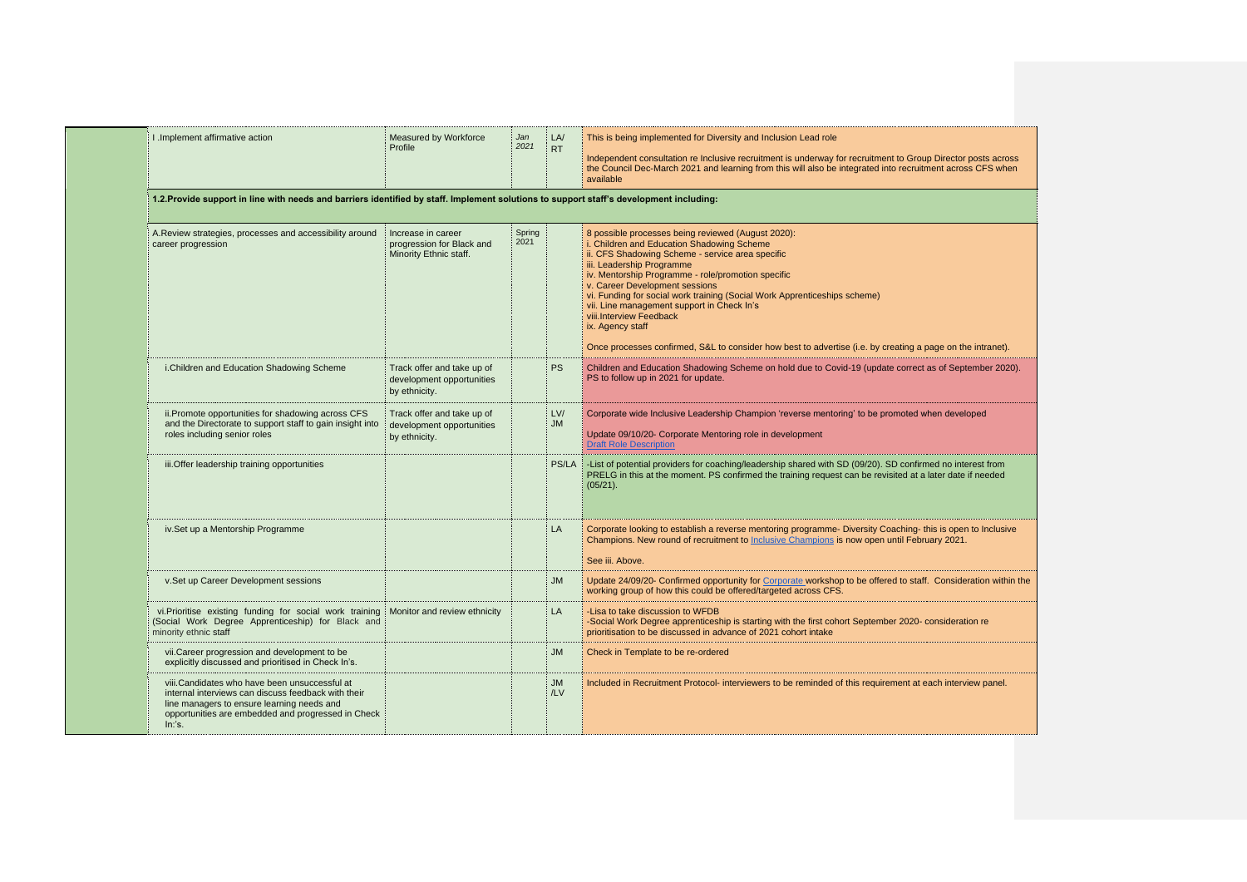| I .Implement affirmative action                                                                                                                                     | Measured by Workforce<br>Profile                                          | Jan<br>2021    | LA/<br><b>RT</b> | This is being implemented for Diversity and Inclusion Lead role                                                                                                                                                                                                                                                                                                                                                                                                                                                                                                   |
|---------------------------------------------------------------------------------------------------------------------------------------------------------------------|---------------------------------------------------------------------------|----------------|------------------|-------------------------------------------------------------------------------------------------------------------------------------------------------------------------------------------------------------------------------------------------------------------------------------------------------------------------------------------------------------------------------------------------------------------------------------------------------------------------------------------------------------------------------------------------------------------|
|                                                                                                                                                                     |                                                                           |                |                  | Independent consultation re Inclusive recruitment is underway for recruitment to Group Director posts across<br>the Council Dec-March 2021 and learning from this will also be integrated into recruitment across CFS when<br>available                                                                                                                                                                                                                                                                                                                           |
| 1.2. Provide support in line with needs and barriers identified by staff. Implement solutions to support staff's development including:                             |                                                                           |                |                  |                                                                                                                                                                                                                                                                                                                                                                                                                                                                                                                                                                   |
| A.Review strategies, processes and accessibility around<br>career progression                                                                                       | Increase in career<br>progression for Black and<br>Minority Ethnic staff. | Spring<br>2021 |                  | 8 possible processes being reviewed (August 2020):<br>i. Children and Education Shadowing Scheme<br>ii. CFS Shadowing Scheme - service area specific<br>iii. Leadership Programme<br>iv. Mentorship Programme - role/promotion specific<br>v. Career Development sessions<br>vi. Funding for social work training (Social Work Apprenticeships scheme)<br>vii. Line management support in Check In's<br>viii.Interview Feedback<br>ix. Agency staff<br>Once processes confirmed, S&L to consider how best to advertise (i.e. by creating a page on the intranet). |
| i.Children and Education Shadowing Scheme                                                                                                                           | Track offer and take up of<br>development opportunities<br>by ethnicity.  |                | <b>PS</b>        | Children and Education Shadowing Scheme on hold due to Covid-19 (update correct as of September 2020).<br>PS to follow up in 2021 for update.                                                                                                                                                                                                                                                                                                                                                                                                                     |
| ii. Promote opportunities for shadowing across CFS<br>and the Directorate to support staff to gain insight into<br>roles including senior roles                     | Track offer and take up of<br>development opportunities<br>by ethnicity.  |                | LV/<br><b>JM</b> | Corporate wide Inclusive Leadership Champion 'reverse mentoring' to be promoted when developed<br>Update 09/10/20- Corporate Mentoring role in development<br><b>Draft Role Description</b>                                                                                                                                                                                                                                                                                                                                                                       |
| iii. Offer leadership training opportunities                                                                                                                        |                                                                           |                | PS/LA            | List of potential providers for coaching/leadership shared with SD (09/20). SD confirmed no interest from<br>PRELG in this at the moment. PS confirmed the training request can be revisited at a later date if needed<br>(05/21).                                                                                                                                                                                                                                                                                                                                |
| iv.Set up a Mentorship Programme                                                                                                                                    |                                                                           |                | LA               | Corporate looking to establish a reverse mentoring programme- Diversity Coaching- this is open to Inclusive<br>Champions. New round of recruitment to Inclusive Champions is now open until February 2021.<br>See iii. Above.                                                                                                                                                                                                                                                                                                                                     |
| v.Set up Career Development sessions                                                                                                                                |                                                                           |                | <b>JM</b>        | Update 24/09/20- Confirmed opportunity for Corporate workshop to be offered to staff. Consideration within t<br>working group of how this could be offered/targeted across CFS.                                                                                                                                                                                                                                                                                                                                                                                   |
| vi. Prioritise existing funding for social work training Monitor and review ethnicity<br>(Social Work Degree Apprenticeship) for Black and<br>minority ethnic staff |                                                                           |                | LA               | -Lisa to take discussion to WFDB<br>-Social Work Degree apprenticeship is starting with the first cohort September 2020- consideration re<br>prioritisation to be discussed in advance of 2021 cohort intake                                                                                                                                                                                                                                                                                                                                                      |
| vii. Career progression and development to be<br>explicitly discussed and prioritised in Check In's.                                                                |                                                                           |                | JM               | Check in Template to be re-ordered                                                                                                                                                                                                                                                                                                                                                                                                                                                                                                                                |
|                                                                                                                                                                     |                                                                           |                | JM               | Included in Recruitment Protocol- interviewers to be reminded of this requirement at each interview panel.                                                                                                                                                                                                                                                                                                                                                                                                                                                        |

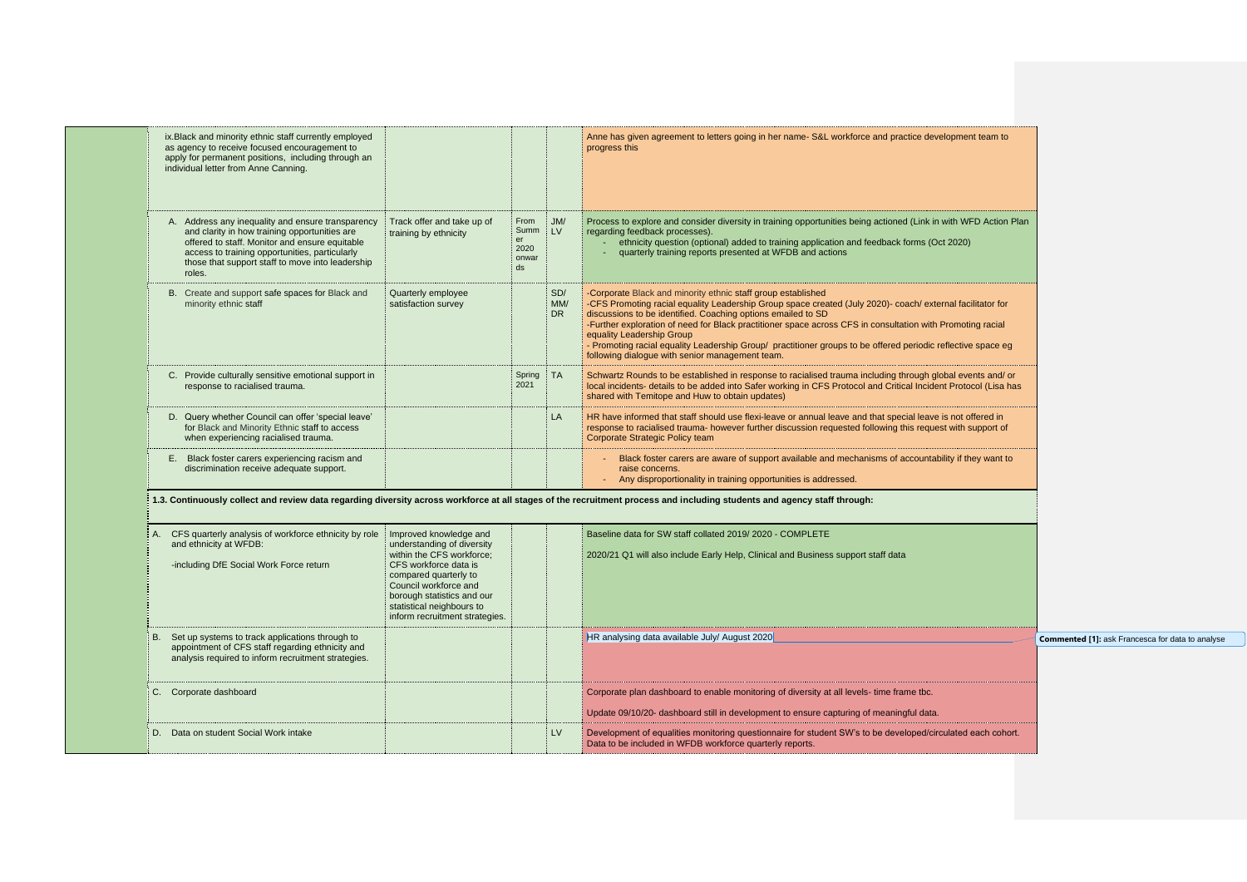| ix. Black and minority ethnic staff currently employed<br>as agency to receive focused encouragement to<br>apply for permanent positions, including through an<br>individual letter from Anne Canning.                                                               |                                                                                                                                                                                                                                                           |                                           |                   | Anne has given agreement to letters going in her name- S&L workforce and practice development team to<br>progress this                                                                                                                                                                                                                                                                                                                                                                                                                                   |
|----------------------------------------------------------------------------------------------------------------------------------------------------------------------------------------------------------------------------------------------------------------------|-----------------------------------------------------------------------------------------------------------------------------------------------------------------------------------------------------------------------------------------------------------|-------------------------------------------|-------------------|----------------------------------------------------------------------------------------------------------------------------------------------------------------------------------------------------------------------------------------------------------------------------------------------------------------------------------------------------------------------------------------------------------------------------------------------------------------------------------------------------------------------------------------------------------|
| A. Address any inequality and ensure transparency<br>and clarity in how training opportunities are<br>offered to staff. Monitor and ensure equitable<br>access to training opportunities, particularly<br>those that support staff to move into leadership<br>roles. | Track offer and take up of<br>training by ethnicity                                                                                                                                                                                                       | From<br>Summ<br>er<br>2020<br>onwar<br>ds | J/M/<br><b>LV</b> | Process to explore and consider diversity in training opportunities being actioned (Link in with WFD Action Pla<br>regarding feedback processes).<br>ethnicity question (optional) added to training application and feedback forms (Oct 2020)<br>quarterly training reports presented at WFDB and actions                                                                                                                                                                                                                                               |
| B. Create and support safe spaces for Black and<br>minority ethnic staff                                                                                                                                                                                             | Quarterly employee<br>satisfaction survey                                                                                                                                                                                                                 |                                           | SD/<br>MM/<br>DR. | -Corporate Black and minority ethnic staff group established<br>-CFS Promoting racial equality Leadership Group space created (July 2020)- coach/ external facilitator for<br>discussions to be identified. Coaching options emailed to SD<br>-Further exploration of need for Black practitioner space across CFS in consultation with Promoting racial<br>equality Leadership Group<br>- Promoting racial equality Leadership Group/ practitioner groups to be offered periodic reflective space eg<br>following dialogue with senior management team. |
| C. Provide culturally sensitive emotional support in<br>response to racialised trauma.                                                                                                                                                                               |                                                                                                                                                                                                                                                           | Spring TA<br>2021                         |                   | Schwartz Rounds to be established in response to racialised trauma including through global events and/ or<br>local incidents- details to be added into Safer working in CFS Protocol and Critical Incident Protocol (Lisa has<br>shared with Temitope and Huw to obtain updates)                                                                                                                                                                                                                                                                        |
| D. Query whether Council can offer 'special leave'<br>for Black and Minority Ethnic staff to access<br>when experiencing racialised trauma.                                                                                                                          |                                                                                                                                                                                                                                                           |                                           | LA                | HR have informed that staff should use flexi-leave or annual leave and that special leave is not offered in<br>response to racialised trauma- however further discussion requested following this request with support of<br>Corporate Strategic Policy team                                                                                                                                                                                                                                                                                             |
| Black foster carers experiencing racism and<br>Е.<br>discrimination receive adequate support.                                                                                                                                                                        |                                                                                                                                                                                                                                                           |                                           |                   | Black foster carers are aware of support available and mechanisms of accountability if they want to<br>raise concerns.<br>- Any disproportionality in training opportunities is addressed.                                                                                                                                                                                                                                                                                                                                                               |
|                                                                                                                                                                                                                                                                      |                                                                                                                                                                                                                                                           |                                           |                   | 1.3. Continuously collect and review data regarding diversity across workforce at all stages of the recruitment process and including students and agency staff through:                                                                                                                                                                                                                                                                                                                                                                                 |
| A. CFS quarterly analysis of workforce ethnicity by role<br>and ethnicity at WFDB:<br>-including DfE Social Work Force return                                                                                                                                        | Improved knowledge and<br>understanding of diversity<br>within the CFS workforce:<br>CFS workforce data is<br>compared quarterly to<br>Council workforce and<br>borough statistics and our<br>statistical neighbours to<br>inform recruitment strategies. |                                           |                   | Baseline data for SW staff collated 2019/2020 - COMPLETE<br>2020/21 Q1 will also include Early Help, Clinical and Business support staff data                                                                                                                                                                                                                                                                                                                                                                                                            |
| B. Set up systems to track applications through to<br>appointment of CFS staff regarding ethnicity and<br>analysis required to inform recruitment strategies.                                                                                                        |                                                                                                                                                                                                                                                           |                                           |                   | HR analysing data available July/ August 2020                                                                                                                                                                                                                                                                                                                                                                                                                                                                                                            |
| C. Corporate dashboard                                                                                                                                                                                                                                               |                                                                                                                                                                                                                                                           |                                           |                   | Corporate plan dashboard to enable monitoring of diversity at all levels- time frame tbc.<br>Update 09/10/20- dashboard still in development to ensure capturing of meaningful data.                                                                                                                                                                                                                                                                                                                                                                     |
| D. Data on student Social Work intake                                                                                                                                                                                                                                |                                                                                                                                                                                                                                                           |                                           | <b>LV</b>         | Development of equalities monitoring questionnaire for student SW's to be developed/circulated each cohort.<br>Data to be included in WFDB workforce quarterly reports.                                                                                                                                                                                                                                                                                                                                                                                  |

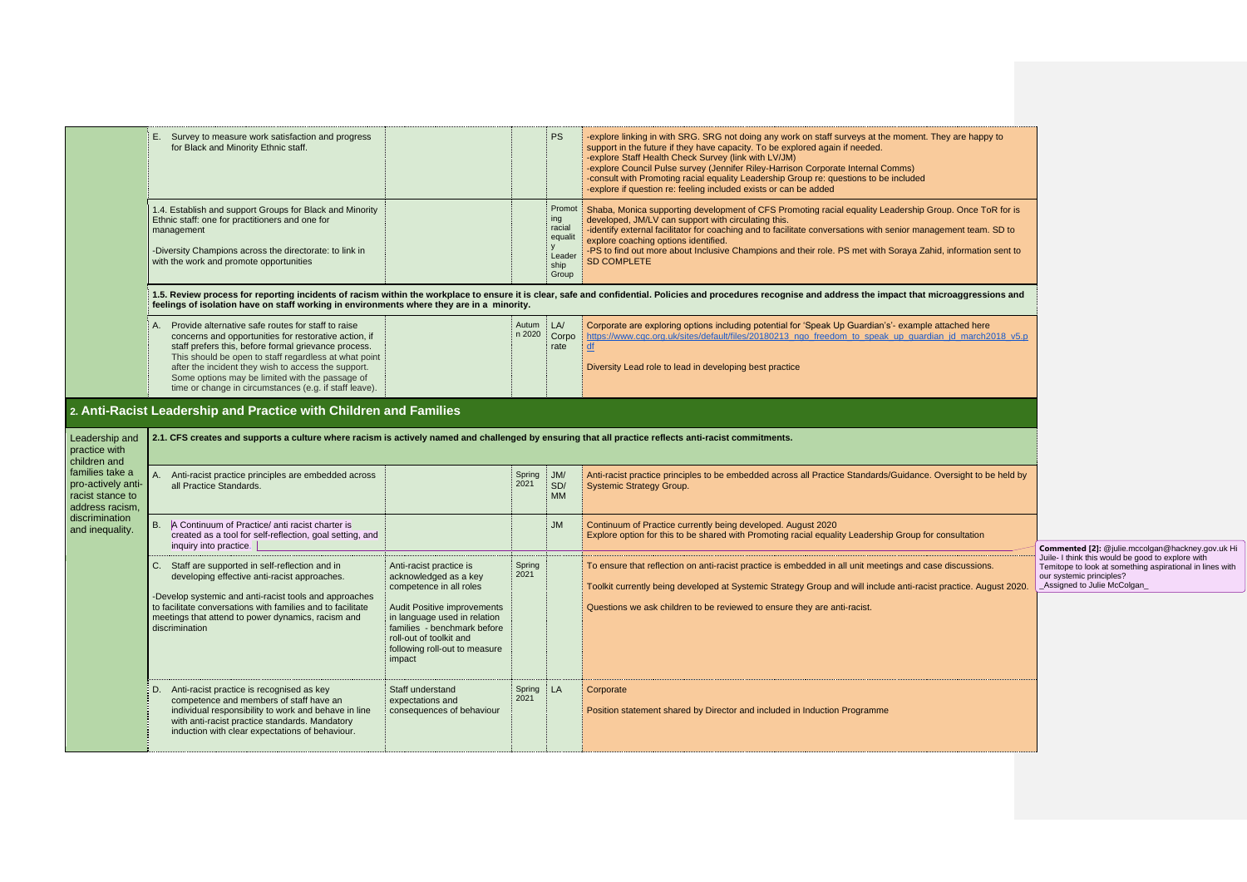|                                                                              | E. Survey to measure work satisfaction and progress<br>for Black and Minority Ethnic staff.                                                                                                                                                                                                                                                                                                         |                                                                                                                                                                         |                 | <b>PS</b>                                                     | -explore linking in with SRG. SRG not doing any work on staff surveys at the moment. They are happy to<br>support in the future if they have capacity. To be explored again if needed.<br>-explore Staff Health Check Survey (link with LV/JM)<br>-explore Council Pulse survey (Jennifer Riley-Harrison Corporate Internal Comms)<br>-consult with Promoting racial equality Leadership Group re: questions to be included<br>-explore if question re: feeling included exists or can be added |                                                                                                                                                                                                                               |
|------------------------------------------------------------------------------|-----------------------------------------------------------------------------------------------------------------------------------------------------------------------------------------------------------------------------------------------------------------------------------------------------------------------------------------------------------------------------------------------------|-------------------------------------------------------------------------------------------------------------------------------------------------------------------------|-----------------|---------------------------------------------------------------|-------------------------------------------------------------------------------------------------------------------------------------------------------------------------------------------------------------------------------------------------------------------------------------------------------------------------------------------------------------------------------------------------------------------------------------------------------------------------------------------------|-------------------------------------------------------------------------------------------------------------------------------------------------------------------------------------------------------------------------------|
|                                                                              | 1.4. Establish and support Groups for Black and Minority<br>Ethnic staff: one for practitioners and one for<br>management<br>-Diversity Champions across the directorate: to link in<br>with the work and promote opportunities                                                                                                                                                                     |                                                                                                                                                                         |                 | Promot<br>ing<br>racial<br>equalit<br>Leader<br>ship<br>Group | Shaba, Monica supporting development of CFS Promoting racial equality Leadership Group. Once ToR for is<br>developed, JM/LV can support with circulating this.<br>-identify external facilitator for coaching and to facilitate conversations with senior management team. SD to<br>explore coaching options identified.<br>-PS to find out more about Inclusive Champions and their role. PS met with Soraya Zahid, information sent to<br><b>SD COMPLETE</b>                                  |                                                                                                                                                                                                                               |
|                                                                              | feelings of isolation have on staff working in environments where they are in a minority.                                                                                                                                                                                                                                                                                                           |                                                                                                                                                                         |                 |                                                               | 1.5. Review process for reporting incidents of racism within the workplace to ensure it is clear, safe and confidential. Policies and procedures recognise and address the impact that microaggressions and                                                                                                                                                                                                                                                                                     |                                                                                                                                                                                                                               |
|                                                                              | A. Provide alternative safe routes for staff to raise<br>concerns and opportunities for restorative action, if<br>staff prefers this, before formal grievance process.<br>This should be open to staff regardless at what point<br>after the incident they wish to access the support.<br>Some options may be limited with the passage of<br>time or change in circumstances (e.g. if staff leave). |                                                                                                                                                                         | Autum<br>n 2020 | LA/<br>Corpo<br>rate                                          | Corporate are exploring options including potential for 'Speak Up Guardian's'- example attached here<br>https://www.cqc.org.uk/sites/default/files/20180213 ngo freedom to speak up guardian jd march2018 v5.p<br>df<br>Diversity Lead role to lead in developing best practice                                                                                                                                                                                                                 |                                                                                                                                                                                                                               |
|                                                                              | 2. Anti-Racist Leadership and Practice with Children and Families                                                                                                                                                                                                                                                                                                                                   |                                                                                                                                                                         |                 |                                                               |                                                                                                                                                                                                                                                                                                                                                                                                                                                                                                 |                                                                                                                                                                                                                               |
| Leadership and<br>practice with                                              | 2.1. CFS creates and supports a culture where racism is actively named and challenged by ensuring that all practice reflects anti-racist commitments.                                                                                                                                                                                                                                               |                                                                                                                                                                         |                 |                                                               |                                                                                                                                                                                                                                                                                                                                                                                                                                                                                                 |                                                                                                                                                                                                                               |
| children and                                                                 |                                                                                                                                                                                                                                                                                                                                                                                                     |                                                                                                                                                                         |                 |                                                               |                                                                                                                                                                                                                                                                                                                                                                                                                                                                                                 |                                                                                                                                                                                                                               |
| families take a<br>pro-actively anti-<br>racist stance to<br>address racism, | A. Anti-racist practice principles are embedded across<br>all Practice Standards.                                                                                                                                                                                                                                                                                                                   |                                                                                                                                                                         | Spring<br>2021  | $\overline{\phantom{a}}$ JM/<br>SD/<br><b>MM</b>              | Anti-racist practice principles to be embedded across all Practice Standards/Guidance. Oversight to be held by<br>Systemic Strategy Group.                                                                                                                                                                                                                                                                                                                                                      |                                                                                                                                                                                                                               |
| discrimination<br>and inequality.                                            | B. A Continuum of Practice/ anti racist charter is<br>created as a tool for self-reflection, goal setting, and<br>inquiry into practice.                                                                                                                                                                                                                                                            |                                                                                                                                                                         |                 | <b>JM</b>                                                     | Continuum of Practice currently being developed. August 2020<br>Explore option for this to be shared with Promoting racial equality Leadership Group for consultation                                                                                                                                                                                                                                                                                                                           |                                                                                                                                                                                                                               |
|                                                                              | Staff are supported in self-reflection and in<br>C.<br>developing effective anti-racist approaches.<br>-Develop systemic and anti-racist tools and approaches                                                                                                                                                                                                                                       | Anti-racist practice is<br>acknowledged as a key<br>competence in all roles                                                                                             | Spring<br>2021  |                                                               | To ensure that reflection on anti-racist practice is embedded in all unit meetings and case discussions.<br>Toolkit currently being developed at Systemic Strategy Group and will include anti-racist practice. August 2020.                                                                                                                                                                                                                                                                    | Commented [2]: @julie.mccolgan@hackney.gov.uk Hi<br>Juile- I think this would be good to explore with<br>Temitope to look at something aspirational in lines with<br>our systemic principles?<br>_Assigned to Julie McColgan_ |
|                                                                              | to facilitate conversations with families and to facilitate<br>meetings that attend to power dynamics, racism and<br>discrimination                                                                                                                                                                                                                                                                 | <b>Audit Positive improvements</b><br>in language used in relation<br>families - benchmark before<br>roll-out of toolkit and<br>following roll-out to measure<br>impact |                 |                                                               | Questions we ask children to be reviewed to ensure they are anti-racist.                                                                                                                                                                                                                                                                                                                                                                                                                        |                                                                                                                                                                                                                               |
|                                                                              | Anti-racist practice is recognised as key<br>competence and members of staff have an<br>individual responsibility to work and behave in line<br>with anti-racist practice standards. Mandatory<br>induction with clear expectations of behaviour.                                                                                                                                                   | Staff understand<br>expectations and<br>consequences of behaviour                                                                                                       | Spring<br>2021  | ‡ LA                                                          | Corporate<br>Position statement shared by Director and included in Induction Programme                                                                                                                                                                                                                                                                                                                                                                                                          |                                                                                                                                                                                                                               |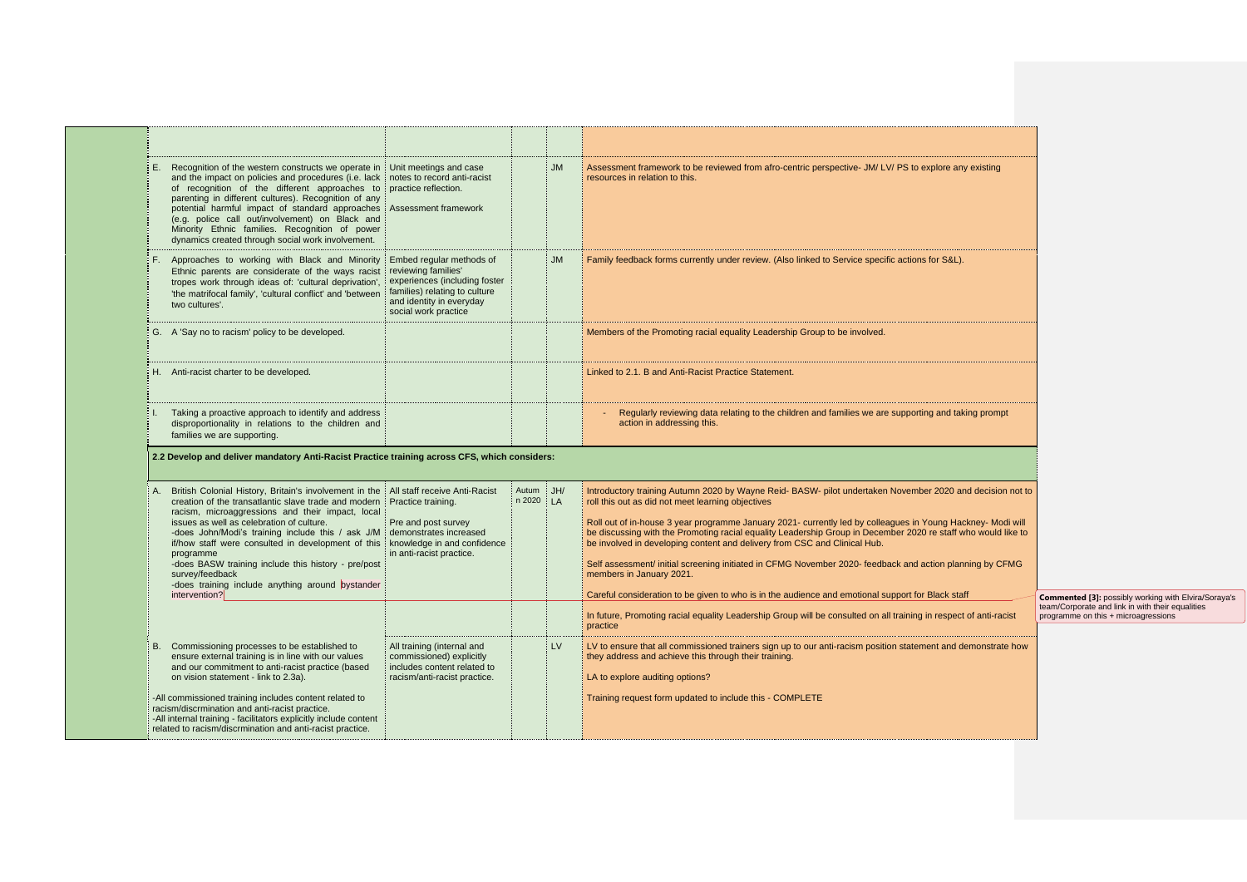| Recognition of the western constructs we operate in Unit meetings and case<br>and the impact on policies and procedures (i.e. lack inotes to record anti-racist<br>of recognition of the different approaches to practice reflection.<br>parenting in different cultures). Recognition of any<br>potential harmful impact of standard approaches Assessment framework<br>(e.g. police call out/involvement) on Black and<br>Minority Ethnic families. Recognition of power<br>dynamics created through social work involvement.                                                              |                                                                                                                       |                        | <b>JM</b> | Assessment framework to be reviewed from afro-centric perspective- JM/ LV/ PS to explore any existing<br>resources in relation to this.                                                                                                                                                                                                                                                                                                                                                                                                                                                                                                                                                                                                                                                                                                                   |                                                                                                                                                        |
|----------------------------------------------------------------------------------------------------------------------------------------------------------------------------------------------------------------------------------------------------------------------------------------------------------------------------------------------------------------------------------------------------------------------------------------------------------------------------------------------------------------------------------------------------------------------------------------------|-----------------------------------------------------------------------------------------------------------------------|------------------------|-----------|-----------------------------------------------------------------------------------------------------------------------------------------------------------------------------------------------------------------------------------------------------------------------------------------------------------------------------------------------------------------------------------------------------------------------------------------------------------------------------------------------------------------------------------------------------------------------------------------------------------------------------------------------------------------------------------------------------------------------------------------------------------------------------------------------------------------------------------------------------------|--------------------------------------------------------------------------------------------------------------------------------------------------------|
| Approaches to working with Black and Minority Embed regular methods of<br>Ethnic parents are considerate of the ways racist reviewing families'<br>tropes work through ideas of: 'cultural deprivation',<br>'the matrifocal family', 'cultural conflict' and 'between<br>two cultures'.                                                                                                                                                                                                                                                                                                      | experiences (including foster<br>families) relating to culture<br>and identity in everyday<br>social work practice    |                        | <b>JM</b> | Family feedback forms currently under review. (Also linked to Service specific actions for S&L).                                                                                                                                                                                                                                                                                                                                                                                                                                                                                                                                                                                                                                                                                                                                                          |                                                                                                                                                        |
| G. A 'Say no to racism' policy to be developed.                                                                                                                                                                                                                                                                                                                                                                                                                                                                                                                                              |                                                                                                                       |                        |           | Members of the Promoting racial equality Leadership Group to be involved.                                                                                                                                                                                                                                                                                                                                                                                                                                                                                                                                                                                                                                                                                                                                                                                 |                                                                                                                                                        |
| Anti-racist charter to be developed.                                                                                                                                                                                                                                                                                                                                                                                                                                                                                                                                                         |                                                                                                                       |                        |           | Linked to 2.1. B and Anti-Racist Practice Statement.                                                                                                                                                                                                                                                                                                                                                                                                                                                                                                                                                                                                                                                                                                                                                                                                      |                                                                                                                                                        |
| Taking a proactive approach to identify and address<br>disproportionality in relations to the children and<br>families we are supporting.                                                                                                                                                                                                                                                                                                                                                                                                                                                    |                                                                                                                       |                        |           | Regularly reviewing data relating to the children and families we are supporting and taking prompt<br>action in addressing this.                                                                                                                                                                                                                                                                                                                                                                                                                                                                                                                                                                                                                                                                                                                          |                                                                                                                                                        |
| 2.2 Develop and deliver mandatory Anti-Racist Practice training across CFS, which considers:                                                                                                                                                                                                                                                                                                                                                                                                                                                                                                 |                                                                                                                       |                        |           |                                                                                                                                                                                                                                                                                                                                                                                                                                                                                                                                                                                                                                                                                                                                                                                                                                                           |                                                                                                                                                        |
|                                                                                                                                                                                                                                                                                                                                                                                                                                                                                                                                                                                              |                                                                                                                       |                        |           |                                                                                                                                                                                                                                                                                                                                                                                                                                                                                                                                                                                                                                                                                                                                                                                                                                                           |                                                                                                                                                        |
| British Colonial History, Britain's involvement in the   All staff receive Anti-Racist<br>creation of the transatlantic slave trade and modern Practice training.<br>racism, microaggressions and their impact, local<br>issues as well as celebration of culture.<br>-does John/Modi's training include this / ask J/M demonstrates increased<br>if/how staff were consulted in development of this knowledge in and confidence<br>programme<br>-does BASW training include this history - pre/post<br>survey/feedback<br>-does training include anything around bystander<br>intervention? | Pre and post survey<br>in anti-racist practice.                                                                       | Autum<br>$n 2020$   LA | JH/       | Introductory training Autumn 2020 by Wayne Reid- BASW- pilot undertaken November 2020 and decision not to<br>roll this out as did not meet learning objectives<br>Roll out of in-house 3 year programme January 2021- currently led by colleagues in Young Hackney- Modi will<br>be discussing with the Promoting racial equality Leadership Group in December 2020 re staff who would like to<br>be involved in developing content and delivery from CSC and Clinical Hub.<br>Self assessment/ initial screening initiated in CFMG November 2020- feedback and action planning by CFMG<br>members in January 2021.<br>Careful consideration to be given to who is in the audience and emotional support for Black staff<br>In future, Promoting racial equality Leadership Group will be consulted on all training in respect of anti-racist<br>practice |                                                                                                                                                        |
| B. Commissioning processes to be established to<br>ensure external training is in line with our values<br>and our commitment to anti-racist practice (based<br>on vision statement - link to 2.3a).                                                                                                                                                                                                                                                                                                                                                                                          | All training (internal and<br>commissioned) explicitly<br>includes content related to<br>racism/anti-racist practice. |                        | <b>LV</b> | LV to ensure that all commissioned trainers sign up to our anti-racism position statement and demonstrate how<br>they address and achieve this through their training.<br>LA to explore auditing options?                                                                                                                                                                                                                                                                                                                                                                                                                                                                                                                                                                                                                                                 | <b>Commented [3]: possibly working with Elvira/Soraya's</b><br>team/Corporate and link in with their equalities<br>programme on this + microagressions |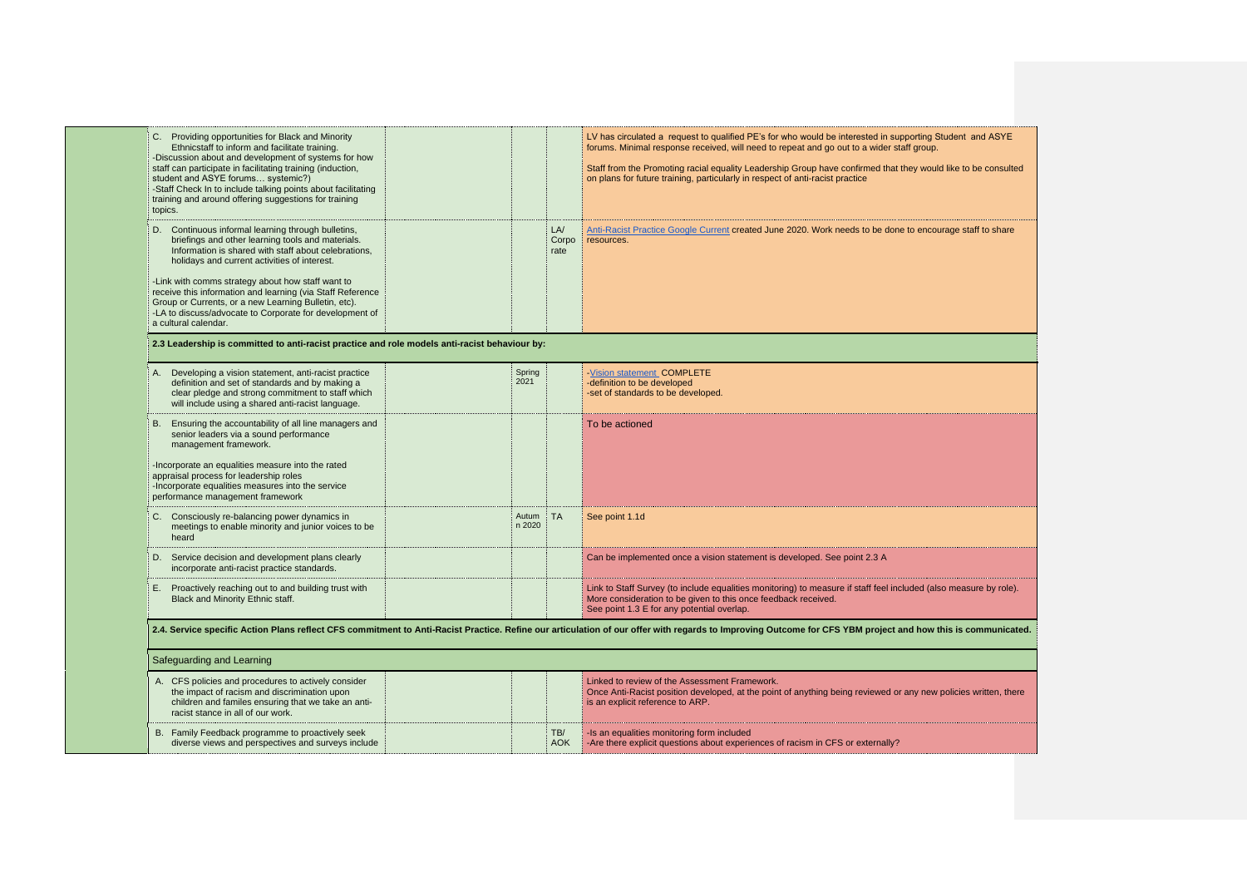| C. Providing opportunities for Black and Minority<br>Ethnicstaff to inform and facilitate training.<br>-Discussion about and development of systems for how<br>staff can participate in facilitating training (induction,<br>student and ASYE forums systemic?)<br>-Staff Check In to include talking points about facilitating<br>training and around offering suggestions for training<br>topics.                                                   |                 |                      | LV has circulated a request to qualified PE's for who would be interested in supporting S<br>forums. Minimal response received, will need to repeat and go out to a wider staff group.<br>Staff from the Promoting racial equality Leadership Group have confirmed that they would<br>on plans for future training, particularly in respect of anti-racist practice |
|-------------------------------------------------------------------------------------------------------------------------------------------------------------------------------------------------------------------------------------------------------------------------------------------------------------------------------------------------------------------------------------------------------------------------------------------------------|-----------------|----------------------|---------------------------------------------------------------------------------------------------------------------------------------------------------------------------------------------------------------------------------------------------------------------------------------------------------------------------------------------------------------------|
| D. Continuous informal learning through bulletins,<br>briefings and other learning tools and materials.<br>Information is shared with staff about celebrations,<br>holidays and current activities of interest.<br>-Link with comms strategy about how staff want to<br>receive this information and learning (via Staff Reference<br>Group or Currents, or a new Learning Bulletin, etc).<br>-LA to discuss/advocate to Corporate for development of |                 | LA/<br>Corpo<br>rate | Anti-Racist Practice Google Current created June 2020. Work needs to be done to encou<br>resources.                                                                                                                                                                                                                                                                 |
| a cultural calendar.                                                                                                                                                                                                                                                                                                                                                                                                                                  |                 |                      |                                                                                                                                                                                                                                                                                                                                                                     |
| 2.3 Leadership is committed to anti-racist practice and role models anti-racist behaviour by:                                                                                                                                                                                                                                                                                                                                                         |                 |                      |                                                                                                                                                                                                                                                                                                                                                                     |
| Developing a vision statement, anti-racist practice<br>definition and set of standards and by making a<br>clear pledge and strong commitment to staff which<br>will include using a shared anti-racist language.                                                                                                                                                                                                                                      | Spring<br>2021  |                      | -Vision statement COMPLETE<br>-definition to be developed<br>-set of standards to be developed.                                                                                                                                                                                                                                                                     |
| B. Ensuring the accountability of all line managers and<br>senior leaders via a sound performance<br>management framework.<br>-Incorporate an equalities measure into the rated<br>appraisal process for leadership roles<br>-Incorporate equalities measures into the service<br>performance management framework                                                                                                                                    |                 |                      | To be actioned                                                                                                                                                                                                                                                                                                                                                      |
| C. Consciously re-balancing power dynamics in<br>meetings to enable minority and junior voices to be<br>heard                                                                                                                                                                                                                                                                                                                                         | Autum<br>n 2020 | $\vdots$ TA          | See point 1.1d                                                                                                                                                                                                                                                                                                                                                      |
| D. Service decision and development plans clearly<br>incorporate anti-racist practice standards.                                                                                                                                                                                                                                                                                                                                                      |                 |                      | Can be implemented once a vision statement is developed. See point 2.3 A                                                                                                                                                                                                                                                                                            |
| E. Proactively reaching out to and building trust with<br>Black and Minority Ethnic staff.                                                                                                                                                                                                                                                                                                                                                            |                 |                      | Link to Staff Survey (to include equalities monitoring) to measure if staff feel included (als<br>More consideration to be given to this once feedback received.<br>See point 1.3 E for any potential overlap.                                                                                                                                                      |
|                                                                                                                                                                                                                                                                                                                                                                                                                                                       |                 |                      | 2.4. Service specific Action Plans reflect CFS commitment to Anti-Racist Practice. Refine our articulation of our offer with regards to Improving Outcome for CFS YBM project and how tl                                                                                                                                                                            |
| Safeguarding and Learning                                                                                                                                                                                                                                                                                                                                                                                                                             |                 |                      |                                                                                                                                                                                                                                                                                                                                                                     |
| A. CFS policies and procedures to actively consider<br>the impact of racism and discrimination upon<br>children and familes ensuring that we take an anti-<br>racist stance in all of our work.                                                                                                                                                                                                                                                       |                 |                      | Linked to review of the Assessment Framework.<br>Once Anti-Racist position developed, at the point of anything being reviewed or any new<br>is an explicit reference to ARP.                                                                                                                                                                                        |
| B. Family Feedback programme to proactively seek<br>diverse views and perspectives and surveys include                                                                                                                                                                                                                                                                                                                                                |                 | TB/<br><b>AOK</b>    | -Is an equalities monitoring form included<br>-Are there explicit questions about experiences of racism in CFS or externally?                                                                                                                                                                                                                                       |

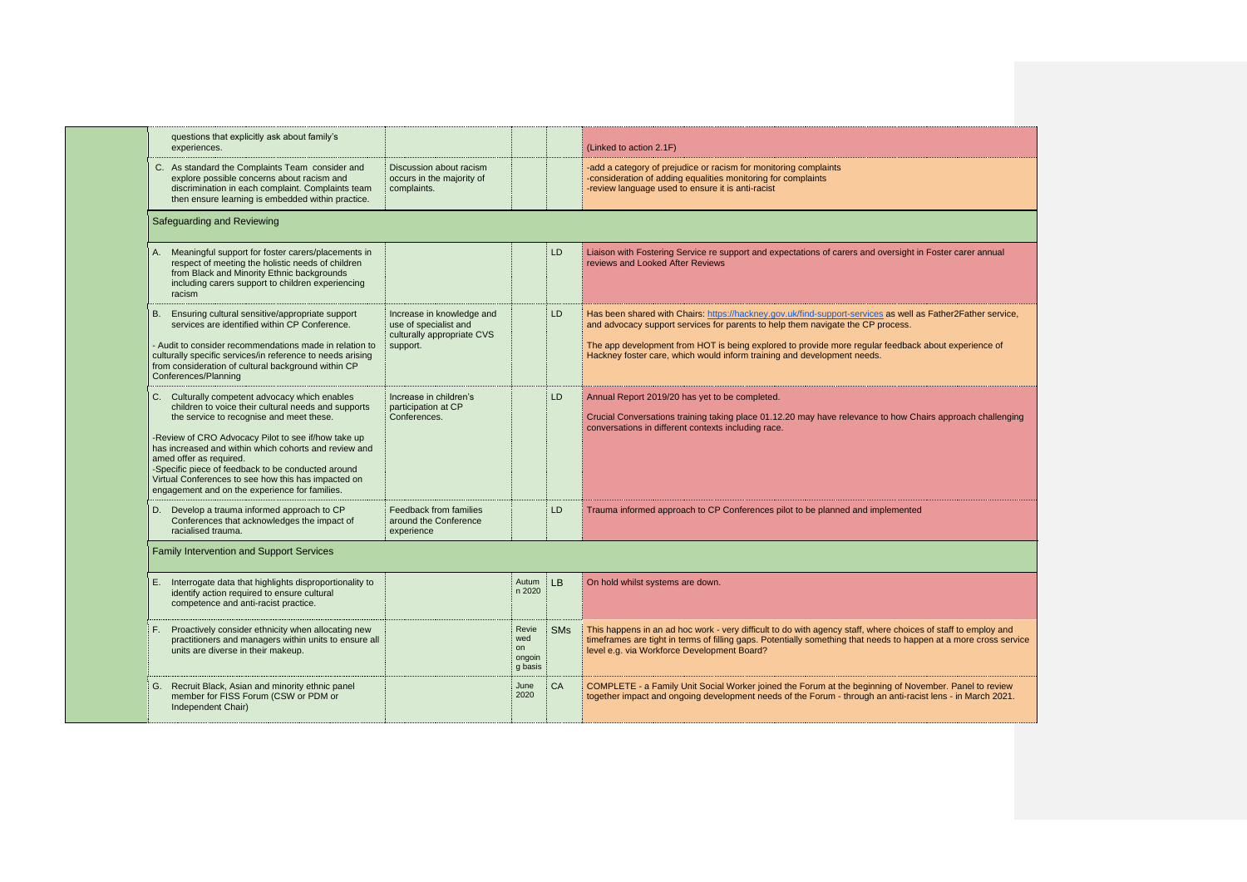| questions that explicitly ask about family's<br>experiences.                                                                                                                                                                                                                                                                                                                                                                                                |                                                                                              |                                         |            | (Linked to action 2.1F)                                                                                                                                                                                                                                                                                                                                                          |
|-------------------------------------------------------------------------------------------------------------------------------------------------------------------------------------------------------------------------------------------------------------------------------------------------------------------------------------------------------------------------------------------------------------------------------------------------------------|----------------------------------------------------------------------------------------------|-----------------------------------------|------------|----------------------------------------------------------------------------------------------------------------------------------------------------------------------------------------------------------------------------------------------------------------------------------------------------------------------------------------------------------------------------------|
| C. As standard the Complaints Team consider and<br>explore possible concerns about racism and<br>discrimination in each complaint. Complaints team<br>then ensure learning is embedded within practice.                                                                                                                                                                                                                                                     | Discussion about racism<br>occurs in the majority of<br>complaints.                          |                                         |            | -add a category of prejudice or racism for monitoring complaints<br>-consideration of adding equalities monitoring for complaints<br>-review language used to ensure it is anti-racist                                                                                                                                                                                           |
| Safeguarding and Reviewing                                                                                                                                                                                                                                                                                                                                                                                                                                  |                                                                                              |                                         |            |                                                                                                                                                                                                                                                                                                                                                                                  |
| Meaningful support for foster carers/placements in<br>respect of meeting the holistic needs of children<br>from Black and Minority Ethnic backgrounds<br>including carers support to children experiencing<br>racism                                                                                                                                                                                                                                        |                                                                                              |                                         | LD         | Liaison with Fostering Service re support and expectations of carers and oversight in Foster carer annual<br>reviews and Looked After Reviews                                                                                                                                                                                                                                    |
| Ensuring cultural sensitive/appropriate support<br>services are identified within CP Conference.<br>- Audit to consider recommendations made in relation to<br>culturally specific services/in reference to needs arising<br>from consideration of cultural background within CP<br>Conferences/Planning                                                                                                                                                    | Increase in knowledge and<br>use of specialist and<br>culturally appropriate CVS<br>support. |                                         | LD         | Has been shared with Chairs: https://hackney.gov.uk/find-support-services as well as Father2Father service,<br>and advocacy support services for parents to help them navigate the CP process.<br>The app development from HOT is being explored to provide more regular feedback about experience of<br>Hackney foster care, which would inform training and development needs. |
| C. Culturally competent advocacy which enables<br>children to voice their cultural needs and supports<br>the service to recognise and meet these.<br>-Review of CRO Advocacy Pilot to see if/how take up<br>has increased and within which cohorts and review and<br>amed offer as required.<br>-Specific piece of feedback to be conducted around<br>Virtual Conferences to see how this has impacted on<br>engagement and on the experience for families. | Increase in children's<br>participation at CP<br>Conferences.                                |                                         | LD         | Annual Report 2019/20 has yet to be completed.<br>Crucial Conversations training taking place 01.12.20 may have relevance to how Chairs approach challenging<br>conversations in different contexts including race.                                                                                                                                                              |
| D. Develop a trauma informed approach to CP<br>Conferences that acknowledges the impact of<br>racialised trauma.                                                                                                                                                                                                                                                                                                                                            | Feedback from families<br>around the Conference<br>experience                                |                                         | LD         | Trauma informed approach to CP Conferences pilot to be planned and implemented                                                                                                                                                                                                                                                                                                   |
| Family Intervention and Support Services                                                                                                                                                                                                                                                                                                                                                                                                                    |                                                                                              |                                         |            |                                                                                                                                                                                                                                                                                                                                                                                  |
| Interrogate data that highlights disproportionality to<br>Е.<br>identify action required to ensure cultural<br>competence and anti-racist practice.                                                                                                                                                                                                                                                                                                         |                                                                                              | Autum   LB<br>n 2020                    |            | On hold whilst systems are down.                                                                                                                                                                                                                                                                                                                                                 |
| Proactively consider ethnicity when allocating new<br>F.<br>practitioners and managers within units to ensure all<br>units are diverse in their makeup.                                                                                                                                                                                                                                                                                                     |                                                                                              | Revie<br>wed<br>on<br>ongoin<br>g basis | <b>SMs</b> | This happens in an ad hoc work - very difficult to do with agency staff, where choices of staff to employ and<br>timeframes are tight in terms of filling gaps. Potentially something that needs to happen at a more cross service<br>level e.g. via Workforce Development Board?                                                                                                |
| Recruit Black, Asian and minority ethnic panel<br>G.<br>member for FISS Forum (CSW or PDM or<br>Independent Chair)                                                                                                                                                                                                                                                                                                                                          |                                                                                              | June<br>2020                            | CA         | COMPLETE - a Family Unit Social Worker joined the Forum at the beginning of November. Panel to review<br>together impact and ongoing development needs of the Forum - through an anti-racist lens - in March 2021.                                                                                                                                                               |
|                                                                                                                                                                                                                                                                                                                                                                                                                                                             |                                                                                              |                                         |            |                                                                                                                                                                                                                                                                                                                                                                                  |

| ter carer annual                             |
|----------------------------------------------|
| her2Father service,                          |
| ut experience of                             |
|                                              |
|                                              |
| approach challenging                         |
|                                              |
| .                                            |
|                                              |
|                                              |
|                                              |
|                                              |
| taff to employ and<br>t a more cross service |
|                                              |
| er. Panel to review<br>ns - in March 2021.   |
|                                              |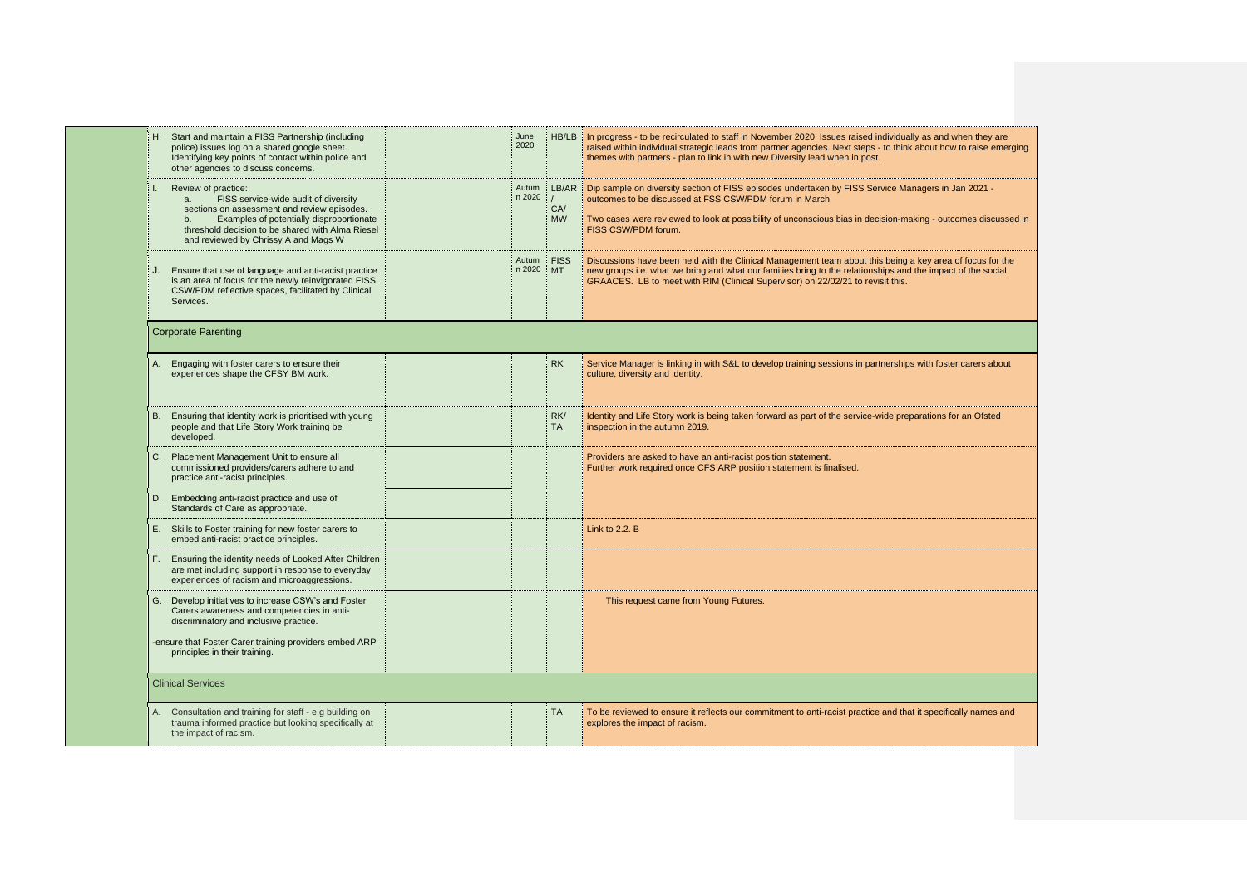| H. Start and maintain a FISS Partnership (including<br>police) issues log on a shared google sheet.<br>Identifying key points of contact within police and<br>other agencies to discuss concerns.                                                        | June<br>2020         |                              | HB/LB In progress - to be recirculated to staff in November 2020. Issues raised individually as and when they are<br>raised within individual strategic leads from partner agencies. Next steps - to think about how to raise emerg<br>themes with partners - plan to link in with new Diversity lead when in post. |
|----------------------------------------------------------------------------------------------------------------------------------------------------------------------------------------------------------------------------------------------------------|----------------------|------------------------------|---------------------------------------------------------------------------------------------------------------------------------------------------------------------------------------------------------------------------------------------------------------------------------------------------------------------|
| Review of practice:<br>FISS service-wide audit of diversity<br>a.<br>sections on assessment and review episodes.<br>Examples of potentially disproportionate<br>threshold decision to be shared with Alma Riesel<br>and reviewed by Chrissy A and Mags W | Autum<br>n 2020      | $\prime$<br>CA/<br><b>MW</b> | LB/AR Dip sample on diversity section of FISS episodes undertaken by FISS Service Managers in Jan 2021 -<br>outcomes to be discussed at FSS CSW/PDM forum in March.<br>Two cases were reviewed to look at possibility of unconscious bias in decision-making - outcomes discusse<br>FISS CSW/PDM forum.             |
| Ensure that use of language and anti-racist practice<br>is an area of focus for the newly reinvigorated FISS<br>CSW/PDM reflective spaces, facilitated by Clinical<br>Services.                                                                          | Autum<br>$n 2020$ MT | <b>FISS</b>                  | Discussions have been held with the Clinical Management team about this being a key area of focus for the<br>new groups i.e. what we bring and what our families bring to the relationships and the impact of the social<br>GRAACES. LB to meet with RIM (Clinical Supervisor) on 22/02/21 to revisit this.         |
| <b>Corporate Parenting</b>                                                                                                                                                                                                                               |                      |                              |                                                                                                                                                                                                                                                                                                                     |
| Engaging with foster carers to ensure their<br>А.<br>experiences shape the CFSY BM work.                                                                                                                                                                 |                      | <b>RK</b>                    | Service Manager is linking in with S&L to develop training sessions in partnerships with foster carers about<br>culture, diversity and identity.                                                                                                                                                                    |
| Ensuring that identity work is prioritised with young<br>B.<br>people and that Life Story Work training be<br>developed.                                                                                                                                 |                      | RK/<br><b>TA</b>             | Identity and Life Story work is being taken forward as part of the service-wide preparations for an Ofsted<br>inspection in the autumn 2019.                                                                                                                                                                        |
| Placement Management Unit to ensure all<br>C.<br>commissioned providers/carers adhere to and<br>practice anti-racist principles.                                                                                                                         |                      |                              | Providers are asked to have an anti-racist position statement.<br>Further work required once CFS ARP position statement is finalised.                                                                                                                                                                               |
| Embedding anti-racist practice and use of<br>D.<br>Standards of Care as appropriate.                                                                                                                                                                     |                      |                              |                                                                                                                                                                                                                                                                                                                     |
| E. Skills to Foster training for new foster carers to<br>embed anti-racist practice principles.                                                                                                                                                          |                      |                              | Link to $2.2. B$                                                                                                                                                                                                                                                                                                    |
| Ensuring the identity needs of Looked After Children<br>F.<br>are met including support in response to everyday<br>experiences of racism and microaggressions.                                                                                           |                      |                              |                                                                                                                                                                                                                                                                                                                     |
| Develop initiatives to increase CSW's and Foster<br>G.<br>Carers awareness and competencies in anti-<br>discriminatory and inclusive practice.                                                                                                           |                      |                              | This request came from Young Futures.                                                                                                                                                                                                                                                                               |
| -ensure that Foster Carer training providers embed ARP<br>principles in their training.                                                                                                                                                                  |                      |                              |                                                                                                                                                                                                                                                                                                                     |
| <b>Clinical Services</b>                                                                                                                                                                                                                                 |                      |                              |                                                                                                                                                                                                                                                                                                                     |
| Consultation and training for staff - e.g building on<br>trauma informed practice but looking specifically at<br>the impact of racism.                                                                                                                   |                      | <b>TA</b>                    | To be reviewed to ensure it reflects our commitment to anti-racist practice and that it specifically names and<br>explores the impact of racism.                                                                                                                                                                    |
|                                                                                                                                                                                                                                                          |                      |                              |                                                                                                                                                                                                                                                                                                                     |

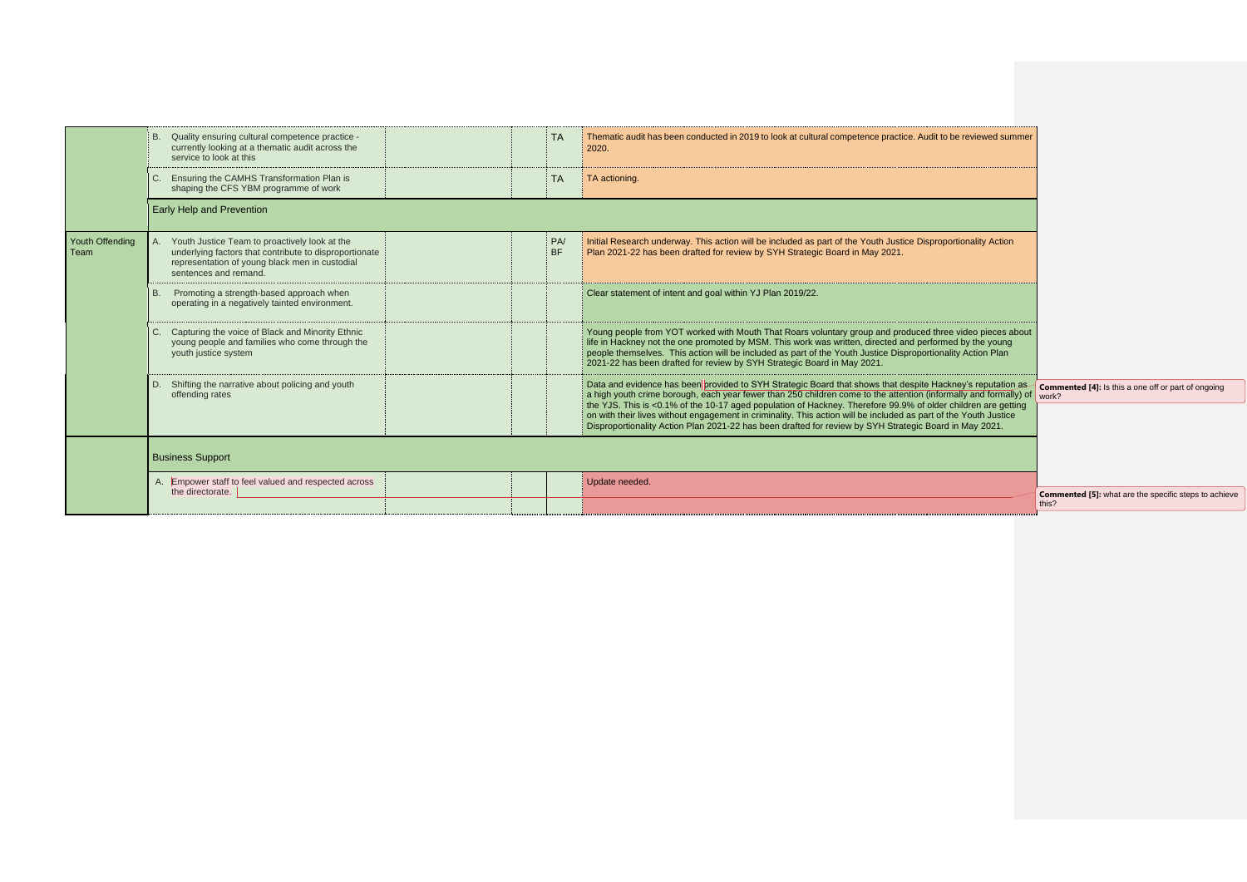|                         | Quality ensuring cultural competence practice -<br>currently looking at a thematic audit across the<br>service to look at this                                                     | <b>TA</b>              | Thematic audit has been conducted in 2019 to look at cultural competence practice. Audit to be reviewed summer<br>2020.                                                                                                                                                                                                                                                                                                                                                                                                                                                       |
|-------------------------|------------------------------------------------------------------------------------------------------------------------------------------------------------------------------------|------------------------|-------------------------------------------------------------------------------------------------------------------------------------------------------------------------------------------------------------------------------------------------------------------------------------------------------------------------------------------------------------------------------------------------------------------------------------------------------------------------------------------------------------------------------------------------------------------------------|
|                         | Ensuring the CAMHS Transformation Plan is<br>C.<br>shaping the CFS YBM programme of work                                                                                           | <b>TA</b>              | TA actioning.                                                                                                                                                                                                                                                                                                                                                                                                                                                                                                                                                                 |
|                         | Early Help and Prevention                                                                                                                                                          |                        |                                                                                                                                                                                                                                                                                                                                                                                                                                                                                                                                                                               |
| Youth Offending<br>Team | Youth Justice Team to proactively look at the<br>underlying factors that contribute to disproportionate<br>representation of young black men in custodial<br>sentences and remand. | <b>PA</b><br><b>BF</b> | Initial Research underway. This action will be included as part of the Youth Justice Disproportionality Action<br>Plan 2021-22 has been drafted for review by SYH Strategic Board in May 2021.                                                                                                                                                                                                                                                                                                                                                                                |
|                         | Promoting a strength-based approach when<br><b>B.</b><br>operating in a negatively tainted environment.                                                                            |                        | Clear statement of intent and goal within YJ Plan 2019/22.                                                                                                                                                                                                                                                                                                                                                                                                                                                                                                                    |
|                         | Capturing the voice of Black and Minority Ethnic<br>C.<br>young people and families who come through the<br>youth justice system                                                   |                        | Young people from YOT worked with Mouth That Roars voluntary group and produced three video pieces about<br>life in Hackney not the one promoted by MSM. This work was written, directed and performed by the young<br>people themselves. This action will be included as part of the Youth Justice Disproportionality Action Plan<br>2021-22 has been drafted for review by SYH Strategic Board in May 2021.                                                                                                                                                                 |
|                         | Shifting the narrative about policing and youth<br>D.<br>offending rates                                                                                                           |                        | Data and evidence has been provided to SYH Strategic Board that shows that despite Hackney's reputation as<br>a high youth crime borough, each year fewer than 250 children come to the attention (informally and formally) of<br>the YJS. This is <0.1% of the 10-17 aged population of Hackney. Therefore 99.9% of older children are getting<br>on with their lives without engagement in criminality. This action will be included as part of the Youth Justice<br>Disproportionality Action Plan 2021-22 has been drafted for review by SYH Strategic Board in May 2021. |
|                         | <b>Business Support</b>                                                                                                                                                            |                        |                                                                                                                                                                                                                                                                                                                                                                                                                                                                                                                                                                               |
|                         | A. Empower staff to feel valued and respected across<br>the directorate.                                                                                                           |                        | Update needed.                                                                                                                                                                                                                                                                                                                                                                                                                                                                                                                                                                |
|                         |                                                                                                                                                                                    |                        |                                                                                                                                                                                                                                                                                                                                                                                                                                                                                                                                                                               |

| o be reviewed summer                                              |                                                                       |
|-------------------------------------------------------------------|-----------------------------------------------------------------------|
|                                                                   |                                                                       |
|                                                                   |                                                                       |
|                                                                   |                                                                       |
| portionality Action                                               |                                                                       |
|                                                                   |                                                                       |
|                                                                   |                                                                       |
|                                                                   |                                                                       |
| ree video pieces about<br>med by the young<br>ality Action Plan   |                                                                       |
|                                                                   |                                                                       |
| ckney's reputation as<br>ormally and formally) of                 | <b>Commented [4]:</b> Is this a one off or part of ongoing<br>work?   |
| er children are getting<br>f the Youth Justice<br>rd in May 2021. |                                                                       |
|                                                                   |                                                                       |
|                                                                   |                                                                       |
|                                                                   | <b>Commented [5]:</b> what are the specific steps to achieve<br>this? |
|                                                                   |                                                                       |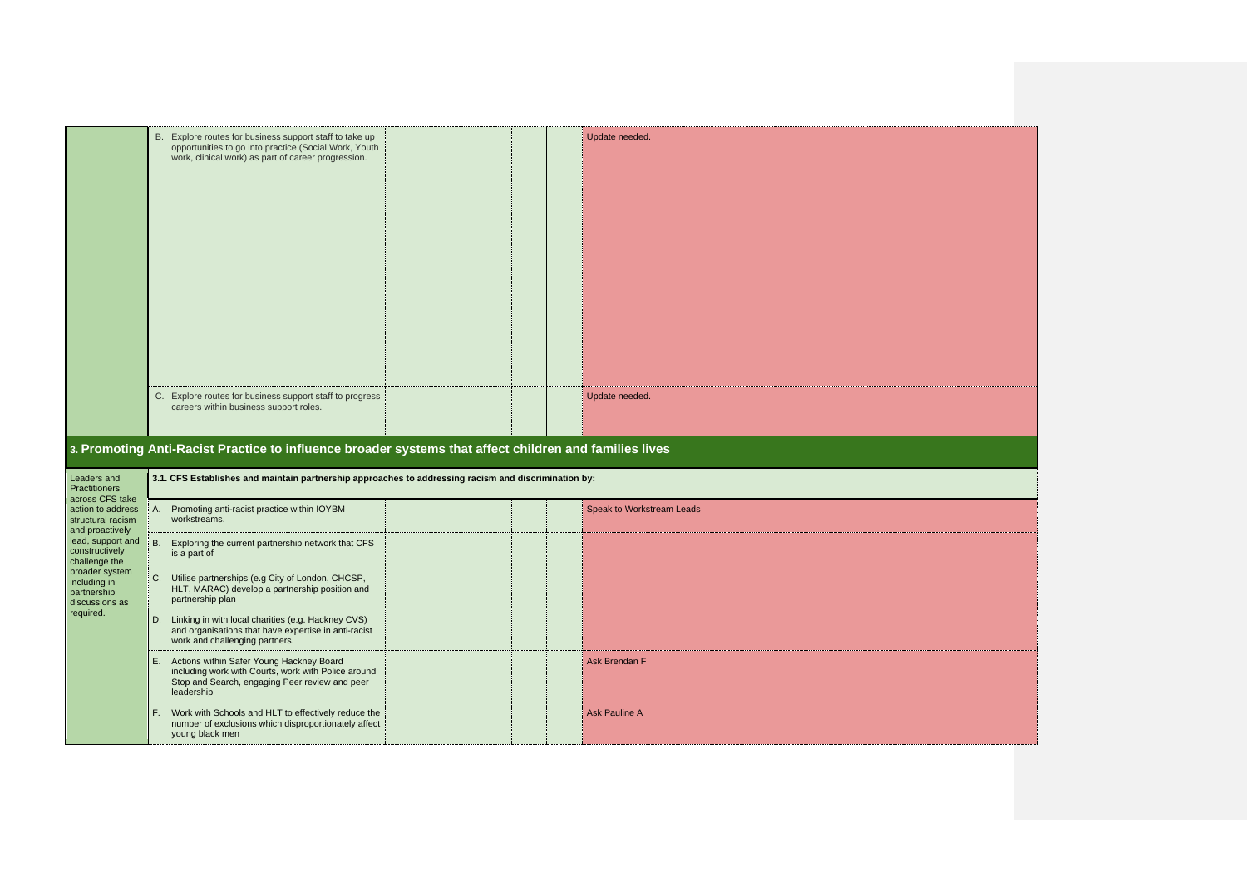|                                                                                  | B. Explore routes for business support staff to take up<br>opportunities to go into practice (Social Work, Youth<br>work, clinical work) as part of career progression. | Update needed.            |  |
|----------------------------------------------------------------------------------|-------------------------------------------------------------------------------------------------------------------------------------------------------------------------|---------------------------|--|
|                                                                                  | C. Explore routes for business support staff to progress<br>careers within business support roles.                                                                      | Update needed.            |  |
|                                                                                  | 3. Promoting Anti-Racist Practice to influence broader systems that affect children and families lives                                                                  |                           |  |
| Leaders and<br><b>Practitioners</b>                                              | 3.1. CFS Establishes and maintain partnership approaches to addressing racism and discrimination by:                                                                    |                           |  |
| across CFS take<br>action to address                                             |                                                                                                                                                                         |                           |  |
| structural racism                                                                | A. Promoting anti-racist practice within IOYBM<br>workstreams.                                                                                                          | Speak to Workstream Leads |  |
| and proactively<br>lead, support and<br>constructively                           | B. Exploring the current partnership network that CFS<br>is a part of                                                                                                   |                           |  |
| challenge the<br>broader system<br>including in<br>partnership<br>discussions as | Utilise partnerships (e.g City of London, CHCSP,<br>C.<br>HLT, MARAC) develop a partnership position and<br>partnership plan                                            |                           |  |
| required.                                                                        | Linking in with local charities (e.g. Hackney CVS)<br>D.<br>and organisations that have expertise in anti-racist<br>work and challenging partners.                      |                           |  |
|                                                                                  | E. Actions within Safer Young Hackney Board<br>including work with Courts, work with Police around<br>Stop and Search, engaging Peer review and peer<br>leadership      | Ask Brendan F             |  |

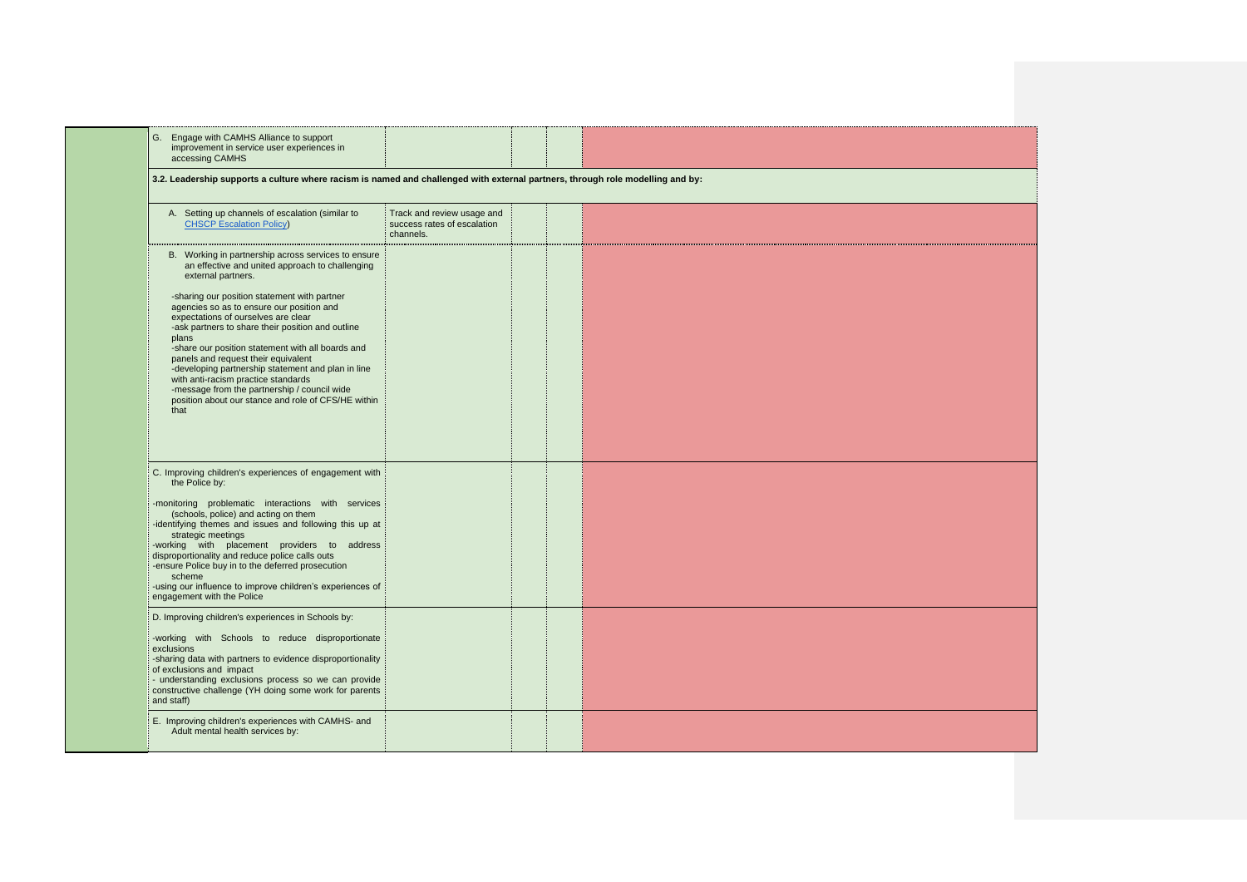| 3.2. Leadership supports a culture where racism is named and challenged with external partners, through role modelling and by:                                                                                                                                                               |                                                                        |  |
|----------------------------------------------------------------------------------------------------------------------------------------------------------------------------------------------------------------------------------------------------------------------------------------------|------------------------------------------------------------------------|--|
| A. Setting up channels of escalation (similar to<br><b>CHSCP Escalation Policy</b>                                                                                                                                                                                                           | Track and review usage and<br>success rates of escalation<br>channels. |  |
| B. Working in partnership across services to ensure<br>an effective and united approach to challenging<br>external partners.                                                                                                                                                                 |                                                                        |  |
| -sharing our position statement with partner<br>agencies so as to ensure our position and<br>expectations of ourselves are clear<br>-ask partners to share their position and outline<br>plans                                                                                               |                                                                        |  |
| -share our position statement with all boards and<br>panels and request their equivalent<br>-developing partnership statement and plan in line<br>with anti-racism practice standards<br>-message from the partnership / council wide<br>position about our stance and role of CFS/HE within |                                                                        |  |
| that                                                                                                                                                                                                                                                                                         |                                                                        |  |
| C. Improving children's experiences of engagement with<br>the Police by:                                                                                                                                                                                                                     |                                                                        |  |
| -monitoring problematic interactions with services<br>(schools, police) and acting on them<br>-identifying themes and issues and following this up at                                                                                                                                        |                                                                        |  |
| strategic meetings<br>-working with placement providers to address<br>disproportionality and reduce police calls outs<br>-ensure Police buy in to the deferred prosecution<br>scheme                                                                                                         |                                                                        |  |
| -using our influence to improve children's experiences of<br>engagement with the Police                                                                                                                                                                                                      |                                                                        |  |
| D. Improving children's experiences in Schools by:                                                                                                                                                                                                                                           |                                                                        |  |
| -working with Schools to reduce disproportionate<br>exclusions<br>-sharing data with partners to evidence disproportionality<br>of exclusions and impact<br>- understanding exclusions process so we can provide                                                                             |                                                                        |  |
| constructive challenge (YH doing some work for parents<br>and staff)                                                                                                                                                                                                                         |                                                                        |  |

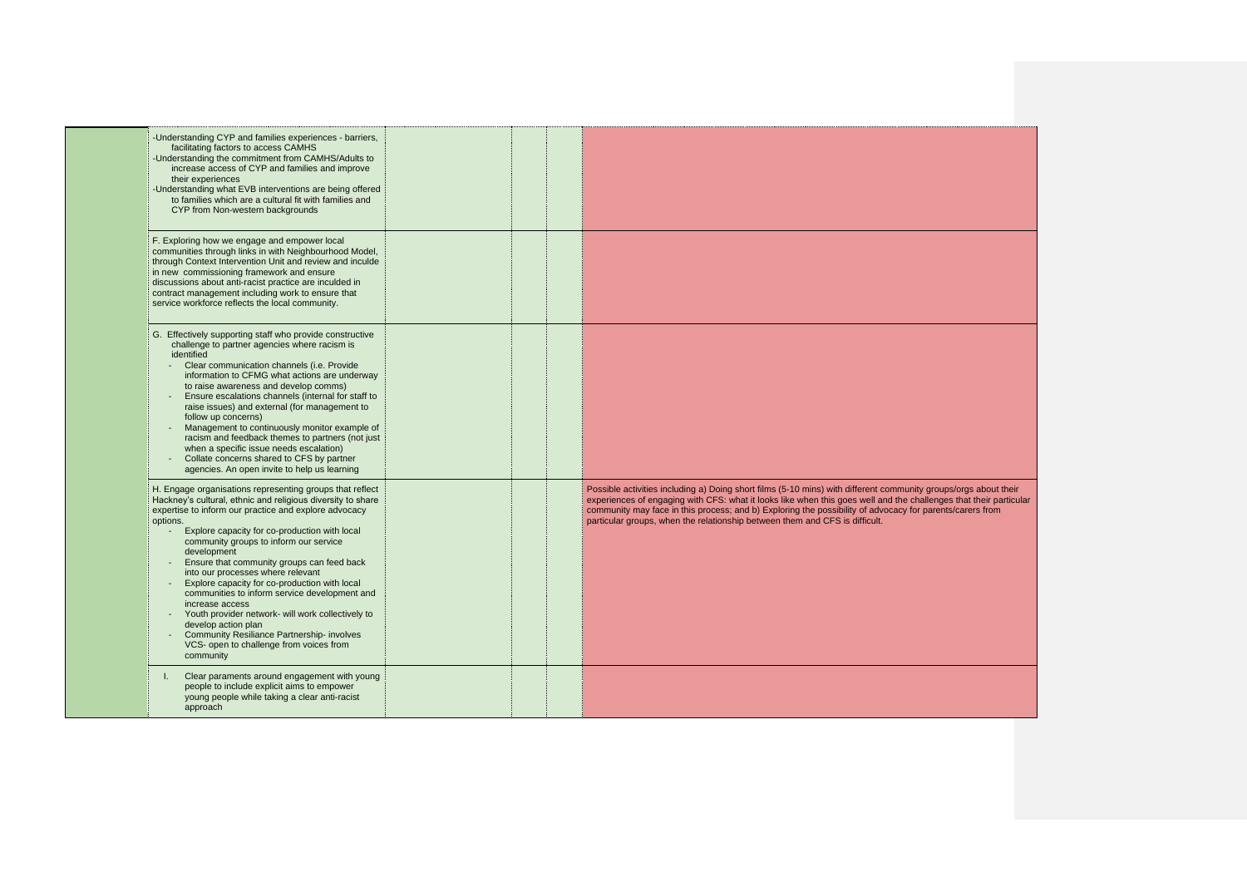| -Understanding CYP and families experiences - barriers,<br>facilitating factors to access CAMHS<br>-Understanding the commitment from CAMHS/Adults to<br>increase access of CYP and families and improve<br>their experiences<br>-Understanding what EVB interventions are being offered<br>to families which are a cultural fit with families and<br>CYP from Non-western backgrounds                                                                                                                                                                                                                                                                                                                  |  |                                                                                                                                                                                                                                                                                                                                                                                                                                 |
|---------------------------------------------------------------------------------------------------------------------------------------------------------------------------------------------------------------------------------------------------------------------------------------------------------------------------------------------------------------------------------------------------------------------------------------------------------------------------------------------------------------------------------------------------------------------------------------------------------------------------------------------------------------------------------------------------------|--|---------------------------------------------------------------------------------------------------------------------------------------------------------------------------------------------------------------------------------------------------------------------------------------------------------------------------------------------------------------------------------------------------------------------------------|
| F. Exploring how we engage and empower local<br>communities through links in with Neighbourhood Model,<br>through Context Intervention Unit and review and inculde<br>in new commissioning framework and ensure<br>discussions about anti-racist practice are inculded in<br>contract management including work to ensure that<br>service workforce reflects the local community.                                                                                                                                                                                                                                                                                                                       |  |                                                                                                                                                                                                                                                                                                                                                                                                                                 |
| G. Effectively supporting staff who provide constructive<br>challenge to partner agencies where racism is<br>identified<br>Clear communication channels (i.e. Provide<br>information to CFMG what actions are underway<br>to raise awareness and develop comms)<br>Ensure escalations channels (internal for staff to<br>raise issues) and external (for management to<br>follow up concerns)<br>Management to continuously monitor example of<br>racism and feedback themes to partners (not just<br>when a specific issue needs escalation)<br>Collate concerns shared to CFS by partner<br>agencies. An open invite to help us learning                                                              |  |                                                                                                                                                                                                                                                                                                                                                                                                                                 |
| H. Engage organisations representing groups that reflect<br>Hackney's cultural, ethnic and religious diversity to share<br>expertise to inform our practice and explore advocacy<br>options.<br>Explore capacity for co-production with local<br>community groups to inform our service<br>development<br>Ensure that community groups can feed back<br>into our processes where relevant<br>Explore capacity for co-production with local<br>communities to inform service development and<br>increase access<br>Youth provider network- will work collectively to<br>develop action plan<br><b>Community Resiliance Partnership- involves</b><br>VCS- open to challenge from voices from<br>community |  | Possible activities including a) Doing short films (5-10 mins) with different community groups/orgs about their<br>experiences of engaging with CFS: what it looks like when this goes well and the challenges that their particular<br>community may face in this process; and b) Exploring the possibility of advocacy for parents/carers from<br>particular groups, when the relationship between them and CFS is difficult. |
| Clear paraments around engagement with young<br>people to include explicit aims to empower<br>young people while taking a clear anti-racist<br>approach                                                                                                                                                                                                                                                                                                                                                                                                                                                                                                                                                 |  |                                                                                                                                                                                                                                                                                                                                                                                                                                 |